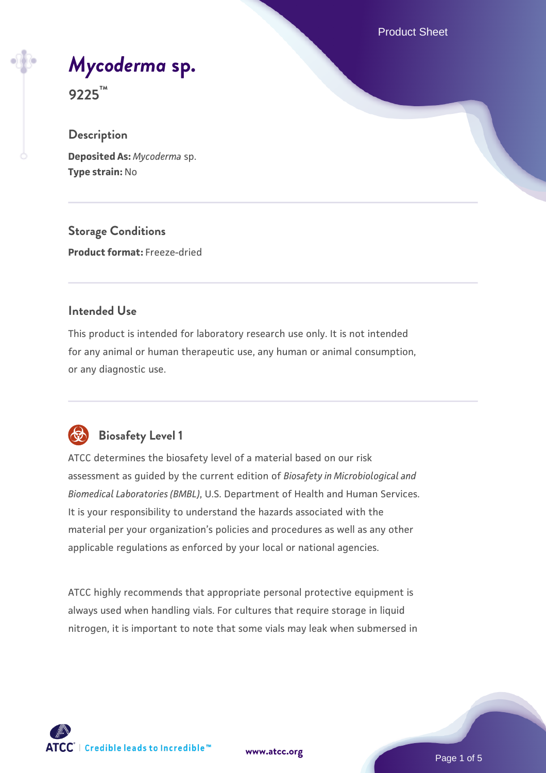Product Sheet

# *[Mycoderma](https://www.atcc.org/products/9225)* **[sp.](https://www.atcc.org/products/9225)**

**9225™**

## **Description**

**Deposited As:** *Mycoderma* sp. **Type strain:** No

**Storage Conditions Product format:** Freeze-dried

## **Intended Use**

This product is intended for laboratory research use only. It is not intended for any animal or human therapeutic use, any human or animal consumption, or any diagnostic use.



# **Biosafety Level 1**

ATCC determines the biosafety level of a material based on our risk assessment as guided by the current edition of *Biosafety in Microbiological and Biomedical Laboratories (BMBL)*, U.S. Department of Health and Human Services. It is your responsibility to understand the hazards associated with the material per your organization's policies and procedures as well as any other applicable regulations as enforced by your local or national agencies.

ATCC highly recommends that appropriate personal protective equipment is always used when handling vials. For cultures that require storage in liquid nitrogen, it is important to note that some vials may leak when submersed in

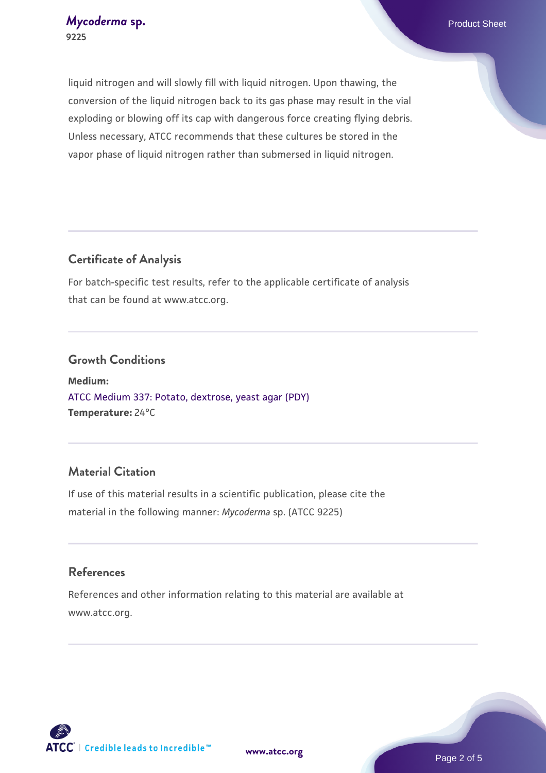liquid nitrogen and will slowly fill with liquid nitrogen. Upon thawing, the conversion of the liquid nitrogen back to its gas phase may result in the vial exploding or blowing off its cap with dangerous force creating flying debris. Unless necessary, ATCC recommends that these cultures be stored in the vapor phase of liquid nitrogen rather than submersed in liquid nitrogen.

## **Certificate of Analysis**

For batch-specific test results, refer to the applicable certificate of analysis that can be found at www.atcc.org.

## **Growth Conditions**

**Medium:**  [ATCC Medium 337: Potato, dextrose, yeast agar \(PDY\)](https://www.atcc.org/-/media/product-assets/documents/microbial-media-formulations/3/3/7/atcc-medium-337.pdf?rev=5ef1e7623358423899d4314148d45ff2) **Temperature:** 24°C

## **Material Citation**

If use of this material results in a scientific publication, please cite the material in the following manner: *Mycoderma* sp. (ATCC 9225)

## **References**

References and other information relating to this material are available at www.atcc.org.

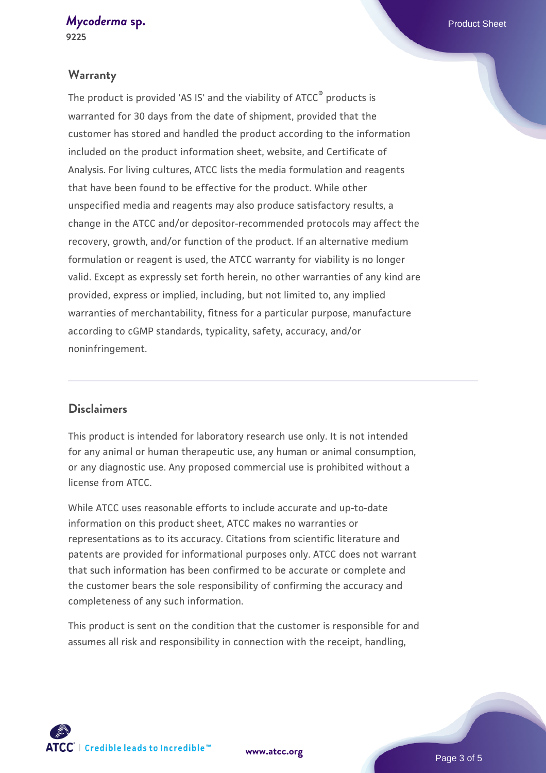#### *[Mycoderma](https://www.atcc.org/products/9225)* [sp.](https://www.atcc.org/products/9225) **Product Sheet 9225**

## **Warranty**

The product is provided 'AS IS' and the viability of ATCC® products is warranted for 30 days from the date of shipment, provided that the customer has stored and handled the product according to the information included on the product information sheet, website, and Certificate of Analysis. For living cultures, ATCC lists the media formulation and reagents that have been found to be effective for the product. While other unspecified media and reagents may also produce satisfactory results, a change in the ATCC and/or depositor-recommended protocols may affect the recovery, growth, and/or function of the product. If an alternative medium formulation or reagent is used, the ATCC warranty for viability is no longer valid. Except as expressly set forth herein, no other warranties of any kind are provided, express or implied, including, but not limited to, any implied warranties of merchantability, fitness for a particular purpose, manufacture according to cGMP standards, typicality, safety, accuracy, and/or noninfringement.

## **Disclaimers**

This product is intended for laboratory research use only. It is not intended for any animal or human therapeutic use, any human or animal consumption, or any diagnostic use. Any proposed commercial use is prohibited without a license from ATCC.

While ATCC uses reasonable efforts to include accurate and up-to-date information on this product sheet, ATCC makes no warranties or representations as to its accuracy. Citations from scientific literature and patents are provided for informational purposes only. ATCC does not warrant that such information has been confirmed to be accurate or complete and the customer bears the sole responsibility of confirming the accuracy and completeness of any such information.

This product is sent on the condition that the customer is responsible for and assumes all risk and responsibility in connection with the receipt, handling,



**[www.atcc.org](http://www.atcc.org)**

Page 3 of 5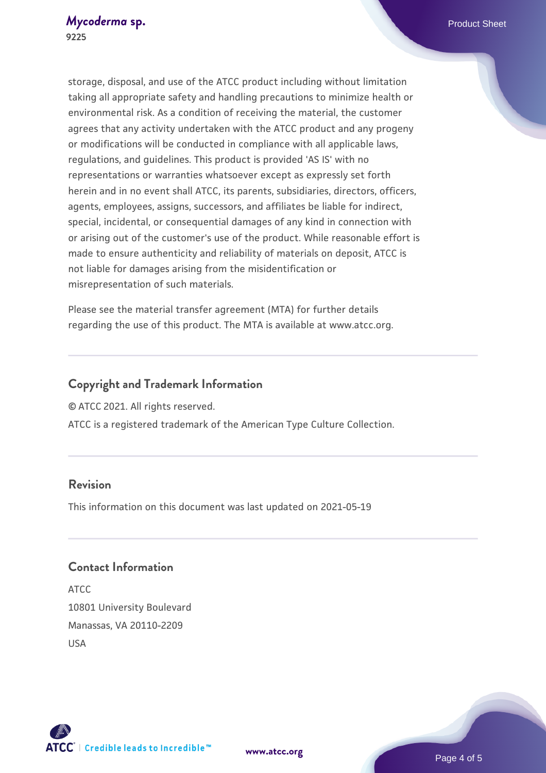storage, disposal, and use of the ATCC product including without limitation taking all appropriate safety and handling precautions to minimize health or environmental risk. As a condition of receiving the material, the customer agrees that any activity undertaken with the ATCC product and any progeny or modifications will be conducted in compliance with all applicable laws, regulations, and guidelines. This product is provided 'AS IS' with no representations or warranties whatsoever except as expressly set forth herein and in no event shall ATCC, its parents, subsidiaries, directors, officers, agents, employees, assigns, successors, and affiliates be liable for indirect, special, incidental, or consequential damages of any kind in connection with or arising out of the customer's use of the product. While reasonable effort is made to ensure authenticity and reliability of materials on deposit, ATCC is not liable for damages arising from the misidentification or misrepresentation of such materials.

Please see the material transfer agreement (MTA) for further details regarding the use of this product. The MTA is available at www.atcc.org.

## **Copyright and Trademark Information**

© ATCC 2021. All rights reserved.

ATCC is a registered trademark of the American Type Culture Collection.

## **Revision**

This information on this document was last updated on 2021-05-19

## **Contact Information**

ATCC 10801 University Boulevard Manassas, VA 20110-2209 USA





**[www.atcc.org](http://www.atcc.org)**